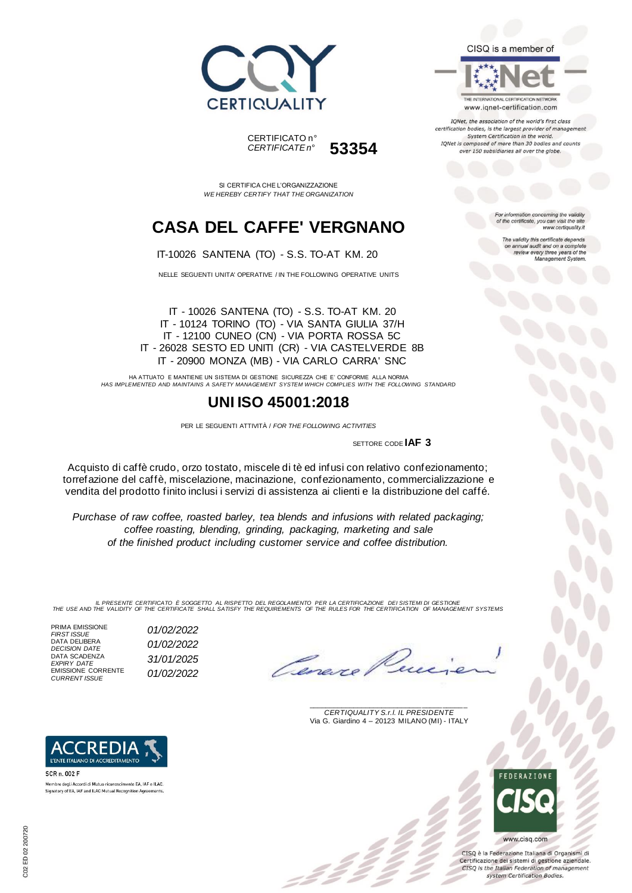



SI CERTIFICA CHE L'ORGANIZZAZIONE *WE HEREBY CERTIFY THAT THE ORGANIZATION*

## **CASA DEL CAFFE' VERGNANO**

IT-10026 SANTENA (TO) - S.S. TO-AT KM. 20

NELLE SEGUENTI UNITA' OPERATIVE / IN THE FOLLOWING OPERATIVE UNITS

IT - 10026 SANTENA (TO) - S.S. TO-AT KM. 20 IT - 10124 TORINO (TO) - VIA SANTA GIULIA 37/H IT - 12100 CUNEO (CN) - VIA PORTA ROSSA 5C IT - 26028 SESTO ED UNITI (CR) - VIA CASTELVERDE 8B IT - 20900 MONZA (MB) - VIA CARLO CARRA' SNC

HA ATTUATO E MANTIENE UN SISTEMA DI GESTIONE SICUREZZA CHE E' CONFORME ALLA NORMA *HAS IMPLEMENTED AND MAINTAINS A SAFETY MANAGEMENT SYSTEM WHICH COMPLIES WITH THE FOLLOWING STANDARD*

### **UNI ISO 45001:2018**

PER LE SEGUENTI ATTIVITÀ / *FOR THE FOLLOWING ACTIVITIES*

SETTORE CODE **IAF 3**

Acquisto di caffè crudo, orzo tostato, miscele di tè ed infusi con relativo confezionamento; torrefazione del caffè, miscelazione, macinazione, confezionamento, commercializzazione e vendita del prodotto finito inclusi i servizi di assistenza ai clienti e la distribuzione del caffé.

*Purchase of raw coffee, roasted barley, tea blends and infusions with related packaging; coffee roasting, blending, grinding, packaging, marketing and sale of the finished product including customer service and coffee distribution.*

IL PRESENTE CERTIFICATO E SOGGETTO AL RISPETTO DEL REGOLAMENTO PER LA CERTIFICAZIONE DEI SISTEMI DI GESTIONE<br>THE USE AND THE VALIDITY OF THE CERTIFICATE SHALL SATISFY THE REQUIREMENTS OF THE RULES FOR THE CERTIFICATION OF

PRIMA EMISSIONE<br>FIRST ISSUE DATA DELIBERA<br>DECISION DATE DATA SCADENZA *EXPIRY DATE 31/01/2025* EMISSIONE CORRENTE *CURRENT ISSUE 01/02/2022*

L'ENTE ITALIANO DI ACCREDITAMENTO

*FIRST ISSUE 01/02/2022 DECISION DATE 01/02/2022*

\_\_\_\_\_\_\_\_\_\_\_\_\_\_\_\_\_\_\_\_\_\_\_\_\_\_\_\_\_\_\_\_\_\_\_\_\_\_\_ *CERTIQUALITY S.r.l. IL PRESIDENTE* Via G. Giardino 4 – 20123 MILANO (MI) - ITALY



CISO è la Federazione Italiana di Organismi di Certificazione dei sistemi di gestione aziendale. CISQ is the Italian Federation of management system Certification Bodies.



THE INTERNATIONAL CERTIFICATION NETWORK www.iqnet-certification.com

CISQ is a member of

IQNet, the association of the world's first class certification bodies, is the largest provider of managen System Certification in the world. IQNet is composed of more than 30 bodies and counts over 150 subsidiaries all over the globe.

> For information concerning the validity<br>of the certificate, you can visit the site www.certiquality.it

> > The validity this certificate depends on annual audit and on a complete<br>review every three years of the<br>Management System.